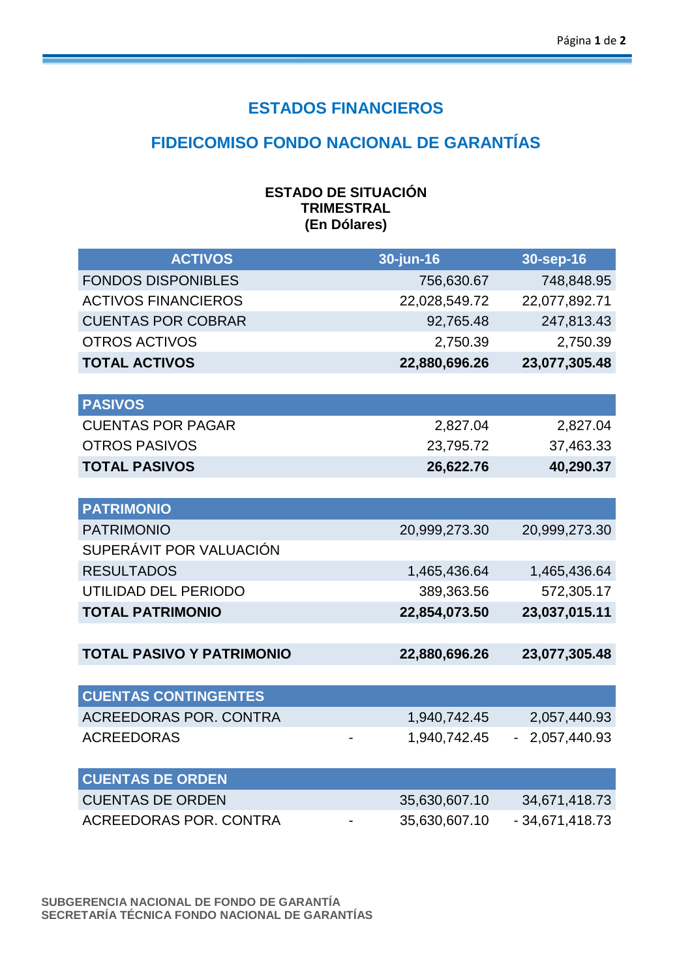## **ESTADOS FINANCIEROS**

## **FIDEICOMISO FONDO NACIONAL DE GARANTÍAS**

| <b>ESTADO DE SITUACIÓN</b> |
|----------------------------|
| <b>TRIMESTRAL</b>          |
| (En Dólares)               |

| <b>ACTIVOS</b>                   | 30-jun-16     | 30-sep-16                      |
|----------------------------------|---------------|--------------------------------|
| <b>FONDOS DISPONIBLES</b>        | 756,630.67    | 748,848.95                     |
| <b>ACTIVOS FINANCIEROS</b>       | 22,028,549.72 | 22,077,892.71                  |
| <b>CUENTAS POR COBRAR</b>        | 92,765.48     | 247,813.43                     |
| <b>OTROS ACTIVOS</b>             | 2,750.39      | 2,750.39                       |
| <b>TOTAL ACTIVOS</b>             | 22,880,696.26 | 23,077,305.48                  |
|                                  |               |                                |
| <b>PASIVOS</b>                   |               |                                |
| <b>CUENTAS POR PAGAR</b>         | 2,827.04      | 2,827.04                       |
| <b>OTROS PASIVOS</b>             | 23,795.72     | 37,463.33                      |
| <b>TOTAL PASIVOS</b>             | 26,622.76     | 40,290.37                      |
|                                  |               |                                |
| <b>PATRIMONIO</b>                |               |                                |
| <b>PATRIMONIO</b>                | 20,999,273.30 | 20,999,273.30                  |
| SUPERÁVIT POR VALUACIÓN          |               |                                |
| <b>RESULTADOS</b>                | 1,465,436.64  | 1,465,436.64                   |
| UTILIDAD DEL PERIODO             | 389,363.56    | 572,305.17                     |
| <b>TOTAL PATRIMONIO</b>          | 22,854,073.50 | 23,037,015.11                  |
|                                  |               |                                |
| <b>TOTAL PASIVO Y PATRIMONIO</b> | 22,880,696.26 | 23,077,305.48                  |
|                                  |               |                                |
| <b>CUENTAS CONTINGENTES</b>      |               |                                |
| <b>ACREEDORAS POR. CONTRA</b>    | 1,940,742.45  | 2,057,440.93                   |
| <b>ACREEDORAS</b>                | 1,940,742.45  | 2,057,440.93<br>$\blacksquare$ |
|                                  |               |                                |
| <b>CUENTAS DE ORDEN</b>          |               |                                |
| <b>CUENTAS DE ORDEN</b>          | 35,630,607.10 | 34,671,418.73                  |
| <b>ACREEDORAS POR, CONTRA</b>    | 35,630,607.10 | $-34,671,418.73$               |